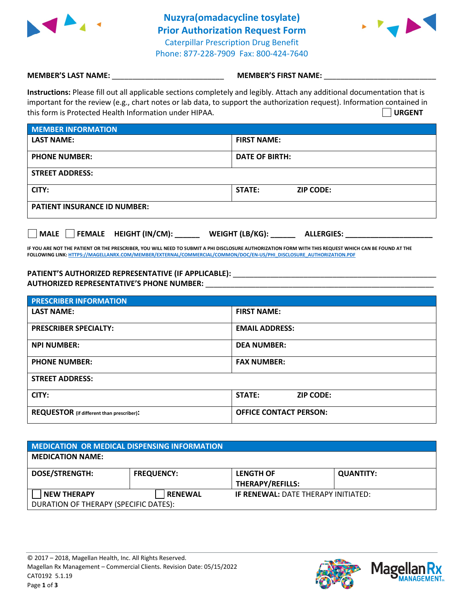

**Nuzyra(omadacycline tosylate) Prior Authorization Request Form** Caterpillar Prescription Drug Benefit Phone: 877-228-7909 Fax: 800-424-7640



## **MEMBER'S LAST NAME:**  $\blacksquare$  **MEMBER'S FIRST NAME:**

**Instructions:** Please fill out all applicable sections completely and legibly. Attach any additional documentation that is important for the review (e.g., chart notes or lab data, to support the authorization request). Information contained in this form is Protected Health Information under HIPAA. **URGENT**

| MEMBER INFORMATION                  |                            |  |  |  |  |
|-------------------------------------|----------------------------|--|--|--|--|
| <b>LAST NAME:</b>                   | <b>FIRST NAME:</b>         |  |  |  |  |
| <b>PHONE NUMBER:</b>                | DATE OF BIRTH:             |  |  |  |  |
| <b>STREET ADDRESS:</b>              |                            |  |  |  |  |
| CITY:                               | STATE:<br><b>ZIP CODE:</b> |  |  |  |  |
| <b>PATIENT INSURANCE ID NUMBER:</b> |                            |  |  |  |  |

|  | MALE |  |  | <b>FEMALE HEIGHT (IN/CM):</b> | <b>WEIGHT (LB/KG):</b> | <b>ALLERGIES:</b> |
|--|------|--|--|-------------------------------|------------------------|-------------------|
|--|------|--|--|-------------------------------|------------------------|-------------------|

**IF YOU ARE NOT THE PATIENT OR THE PRESCRIBER, YOU WILL NEED TO SUBMIT A PHI DISCLOSURE AUTHORIZATION FORM WITH THIS REQUEST WHICH CAN BE FOUND AT THE FOLLOWING LINK[: HTTPS://MAGELLANRX.COM/MEMBER/EXTERNAL/COMMERCIAL/COMMON/DOC/EN-US/PHI\\_DISCLOSURE\\_AUTHORIZATION.PDF](https://magellanrx.com/member/external/commercial/common/doc/en-us/PHI_Disclosure_Authorization.pdf)**

## **PATIENT'S AUTHORIZED REPRESENTATIVE (IF APPLICABLE):** \_\_\_\_\_\_\_\_\_\_\_\_\_\_\_\_\_\_\_\_\_\_\_\_\_\_\_\_\_\_\_\_\_\_\_\_\_\_\_\_\_\_\_\_\_\_\_\_\_ **AUTHORIZED REPRESENTATIVE'S PHONE NUMBER:** \_\_\_\_\_\_\_\_\_\_\_\_\_\_\_\_\_\_\_\_\_\_\_\_\_\_\_\_\_\_\_\_\_\_\_\_\_\_\_\_\_\_\_\_\_\_\_\_\_\_\_\_\_\_\_

| <b>PRESCRIBER INFORMATION</b>             |                                   |  |
|-------------------------------------------|-----------------------------------|--|
| <b>LAST NAME:</b>                         | <b>FIRST NAME:</b>                |  |
| <b>PRESCRIBER SPECIALTY:</b>              | <b>EMAIL ADDRESS:</b>             |  |
| <b>NPI NUMBER:</b>                        | <b>DEA NUMBER:</b>                |  |
| <b>PHONE NUMBER:</b>                      | <b>FAX NUMBER:</b>                |  |
| <b>STREET ADDRESS:</b>                    |                                   |  |
| CITY:                                     | <b>STATE:</b><br><b>ZIP CODE:</b> |  |
| REQUESTOR (if different than prescriber): | <b>OFFICE CONTACT PERSON:</b>     |  |

| MEDICATION OR MEDICAL DISPENSING INFORMATION |                   |                                            |                  |  |  |  |
|----------------------------------------------|-------------------|--------------------------------------------|------------------|--|--|--|
| <b>MEDICATION NAME:</b>                      |                   |                                            |                  |  |  |  |
| <b>DOSE/STRENGTH:</b>                        | <b>FREQUENCY:</b> | <b>LENGTH OF</b>                           | <b>QUANTITY:</b> |  |  |  |
|                                              |                   | <b>THERAPY/REFILLS:</b>                    |                  |  |  |  |
| <b>NEW THERAPY</b>                           | <b>RENEWAL</b>    | <b>IF RENEWAL: DATE THERAPY INITIATED:</b> |                  |  |  |  |
| DURATION OF THERAPY (SPECIFIC DATES):        |                   |                                            |                  |  |  |  |



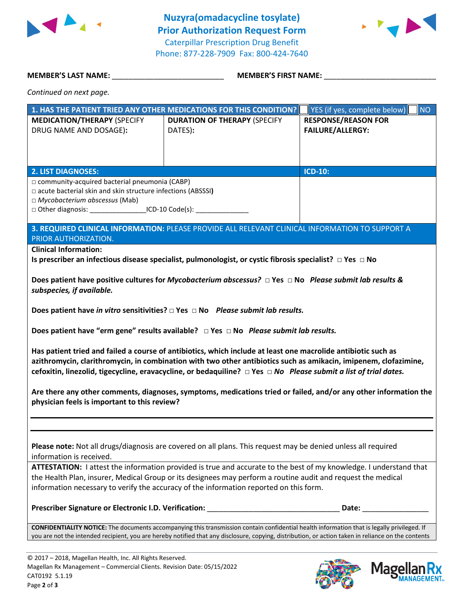

**Nuzyra(omadacycline tosylate) Prior Authorization Request Form** Caterpillar Prescription Drug Benefit Phone: 877-228-7909 Fax: 800-424-7640



**MEMBER'S LAST NAME:** \_\_\_\_\_\_\_\_\_\_\_\_\_\_\_\_\_\_\_\_\_\_\_\_\_\_\_ **MEMBER'S FIRST NAME:** \_\_\_\_\_\_\_\_\_\_\_\_\_\_\_\_\_\_\_\_\_\_\_\_\_\_\_

*Continued on next page.*

| 1. HAS THE PATIENT TRIED ANY OTHER MEDICATIONS FOR THIS CONDITION? |                                     | YES (if yes, complete below)<br><b>NO</b> |  |  |
|--------------------------------------------------------------------|-------------------------------------|-------------------------------------------|--|--|
| <b>MEDICATION/THERAPY (SPECIFY</b>                                 | <b>DURATION OF THERAPY (SPECIFY</b> | <b>RESPONSE/REASON FOR</b>                |  |  |
| DRUG NAME AND DOSAGE):                                             | DATES):                             | <b>FAILURE/ALLERGY:</b>                   |  |  |
|                                                                    |                                     |                                           |  |  |
|                                                                    |                                     |                                           |  |  |
|                                                                    |                                     |                                           |  |  |
| <b>2. LIST DIAGNOSES:</b>                                          |                                     | $ICD-10:$                                 |  |  |
| $\Box$ community-acquired bacterial pneumonia (CABP)               |                                     |                                           |  |  |
| □ acute bacterial skin and skin structure infections (ABSSSI)      |                                     |                                           |  |  |
| $\Box$ Mycobacterium abscessus (Mab)                               |                                     |                                           |  |  |
| $\Box$ Other diagnosis: $\Box$ ICD-10 Code(s):                     |                                     |                                           |  |  |
|                                                                    |                                     |                                           |  |  |

**3. REQUIRED CLINICAL INFORMATION:** PLEASE PROVIDE ALL RELEVANT CLINICAL INFORMATION TO SUPPORT A PRIOR AUTHORIZATION.

**Clinical Information:**

**Is prescriber an infectious disease specialist, pulmonologist, or cystic fibrosis specialist? □ Yes □ No**

**Does patient have positive cultures for** *Mycobacterium abscessus?* **□ Yes □ No** *Please submit lab results & subspecies, if available.* 

**Does patient have** *in vitro* **sensitivities? □ Yes □ No** *Please submit lab results.*

**Does patient have "erm gene" results available? □ Yes □ No** *Please submit lab results.*

**Has patient tried and failed a course of antibiotics, which include at least one macrolide antibiotic such as azithromycin, clarithromycin, in combination with two other antibiotics such as amikacin, imipenem, clofazimine, cefoxitin, linezolid, tigecycline, eravacycline, or bedaquiline? □ Yes □** *No Please submit a list of trial dates.*

**Are there any other comments, diagnoses, symptoms, medications tried or failed, and/or any other information the physician feels is important to this review?**

**Please note:** Not all drugs/diagnosis are covered on all plans. This request may be denied unless all required information is received.

**ATTESTATION:** I attest the information provided is true and accurate to the best of my knowledge. I understand that the Health Plan, insurer, Medical Group or its designees may perform a routine audit and request the medical information necessary to verify the accuracy of the information reported on this form.

**Prescriber Signature or Electronic I.D. Verification:** \_\_\_\_\_\_\_\_\_\_\_\_\_\_\_\_\_\_\_\_\_\_\_\_\_\_\_\_\_\_\_\_ **Date:** \_\_\_\_\_\_\_\_\_\_\_\_\_\_\_\_

**CONFIDENTIALITY NOTICE:** The documents accompanying this transmission contain confidential health information that is legally privileged. If you are not the intended recipient, you are hereby notified that any disclosure, copying, distribution, or action taken in reliance on the contents